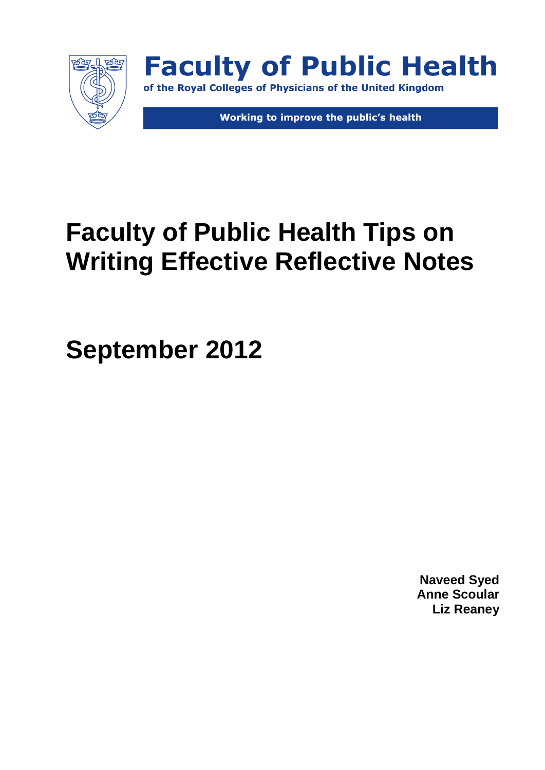

**Faculty of Public Health** of the Royal Colleges of Physicians of the United Kingdom

Working to improve the public's health

# **Faculty of Public Health Tips on Writing Effective Reflective Notes**

**September 2012**

**Naveed Syed Anne Scoular Liz Reaney**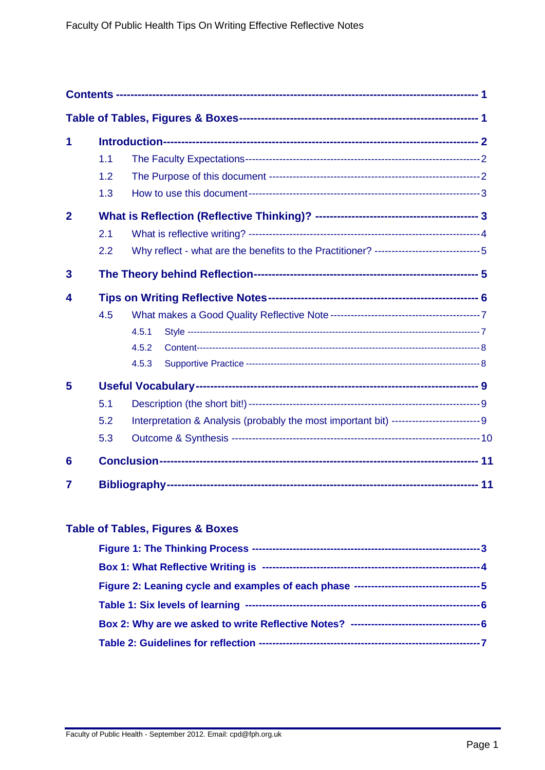<span id="page-1-0"></span>

| 1                       |     |                                                                                           |  |  |  |  |
|-------------------------|-----|-------------------------------------------------------------------------------------------|--|--|--|--|
|                         | 1.1 |                                                                                           |  |  |  |  |
|                         | 1.2 |                                                                                           |  |  |  |  |
|                         | 1.3 |                                                                                           |  |  |  |  |
| $\overline{2}$          |     |                                                                                           |  |  |  |  |
|                         | 2.1 |                                                                                           |  |  |  |  |
|                         | 2.2 | Why reflect - what are the benefits to the Practitioner? -----------------------------5   |  |  |  |  |
| $\overline{\mathbf{3}}$ |     |                                                                                           |  |  |  |  |
| 4                       |     |                                                                                           |  |  |  |  |
|                         | 4.5 |                                                                                           |  |  |  |  |
|                         |     | 4.5.1                                                                                     |  |  |  |  |
|                         |     | 4.5.2                                                                                     |  |  |  |  |
|                         |     | 4.5.3                                                                                     |  |  |  |  |
| 5                       |     |                                                                                           |  |  |  |  |
|                         | 5.1 |                                                                                           |  |  |  |  |
|                         | 5.2 | Interpretation & Analysis (probably the most important bit) --------------------------- 9 |  |  |  |  |
|                         | 5.3 |                                                                                           |  |  |  |  |
| 6                       |     |                                                                                           |  |  |  |  |
| 7                       |     |                                                                                           |  |  |  |  |

## <span id="page-1-1"></span>**Table of Tables, Figures & Boxes**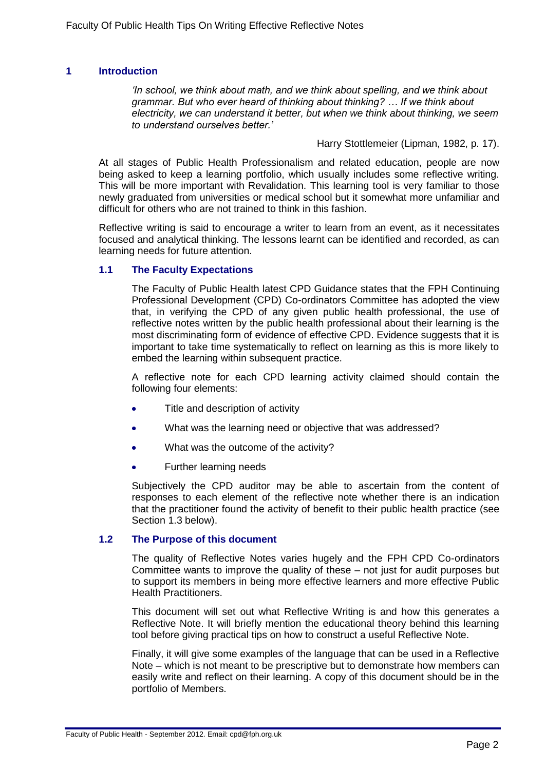## <span id="page-2-0"></span>**1 Introduction**

*'In school, we think about math, and we think about spelling, and we think about grammar. But who ever heard of thinking about thinking? … If we think about electricity, we can understand it better, but when we think about thinking, we seem to understand ourselves better.'* 

Harry Stottlemeier (Lipman, 1982, p. 17).

At all stages of Public Health Professionalism and related education, people are now being asked to keep a learning portfolio, which usually includes some reflective writing. This will be more important with Revalidation. This learning tool is very familiar to those newly graduated from universities or medical school but it somewhat more unfamiliar and difficult for others who are not trained to think in this fashion.

Reflective writing is said to encourage a writer to learn from an event, as it necessitates focused and analytical thinking. The lessons learnt can be identified and recorded, as can learning needs for future attention.

#### <span id="page-2-1"></span>**1.1 The Faculty Expectations**

The Faculty of Public Health latest CPD Guidance states that the FPH Continuing Professional Development (CPD) Co-ordinators Committee has adopted the view that, in verifying the CPD of any given public health professional, the use of reflective notes written by the public health professional about their learning is the most discriminating form of evidence of effective CPD. Evidence suggests that it is important to take time systematically to reflect on learning as this is more likely to embed the learning within subsequent practice.

A reflective note for each CPD learning activity claimed should contain the following four elements:

- Title and description of activity
- What was the learning need or objective that was addressed?
- What was the outcome of the activity?  $\bullet$
- Further learning needs

Subjectively the CPD auditor may be able to ascertain from the content of responses to each element of the reflective note whether there is an indication that the practitioner found the activity of benefit to their public health practice (see Section 1.3 below).

#### <span id="page-2-2"></span>**1.2 The Purpose of this document**

The quality of Reflective Notes varies hugely and the FPH CPD Co-ordinators Committee wants to improve the quality of these – not just for audit purposes but to support its members in being more effective learners and more effective Public Health Practitioners.

This document will set out what Reflective Writing is and how this generates a Reflective Note. It will briefly mention the educational theory behind this learning tool before giving practical tips on how to construct a useful Reflective Note.

Finally, it will give some examples of the language that can be used in a Reflective Note – which is not meant to be prescriptive but to demonstrate how members can easily write and reflect on their learning. A copy of this document should be in the portfolio of Members.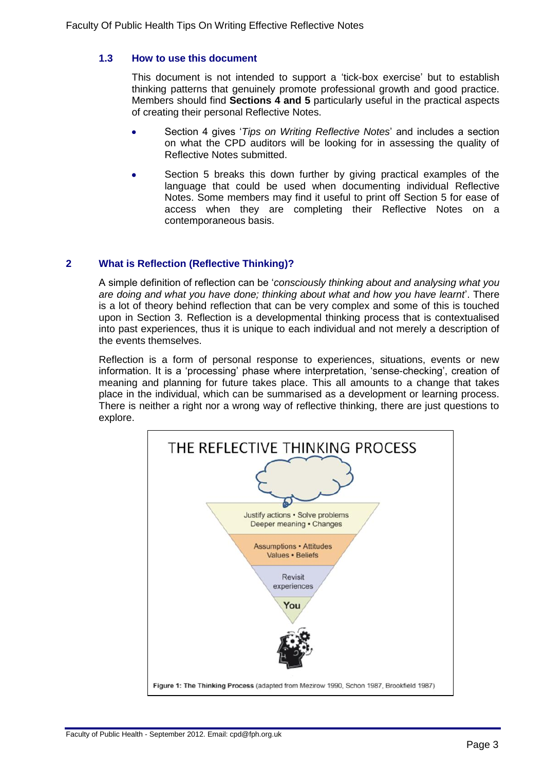## <span id="page-3-0"></span>**1.3 How to use this document**

This document is not intended to support a 'tick-box exercise' but to establish thinking patterns that genuinely promote professional growth and good practice. Members should find **Sections 4 and 5** particularly useful in the practical aspects of creating their personal Reflective Notes.

- Section 4 gives '*Tips on Writing Reflective Notes*' and includes a section on what the CPD auditors will be looking for in assessing the quality of Reflective Notes submitted.
- Section 5 breaks this down further by giving practical examples of the language that could be used when documenting individual Reflective Notes. Some members may find it useful to print off Section 5 for ease of access when they are completing their Reflective Notes on a contemporaneous basis.

## <span id="page-3-1"></span>**2 What is Reflection (Reflective Thinking)?**

A simple definition of reflection can be '*consciously thinking about and analysing what you are doing and what you have done; thinking about what and how you have learnt*'. There is a lot of theory behind reflection that can be very complex and some of this is touched upon in Section [3.](#page-5-1) Reflection is a developmental thinking process that is contextualised into past experiences, thus it is unique to each individual and not merely a description of the events themselves.

Reflection is a form of personal response to experiences, situations, events or new information. It is a 'processing' phase where interpretation, 'sense-checking', creation of meaning and planning for future takes place. This all amounts to a change that takes place in the individual, which can be summarised as a development or learning process. There is neither a right nor a wrong way of reflective thinking, there are just questions to explore.

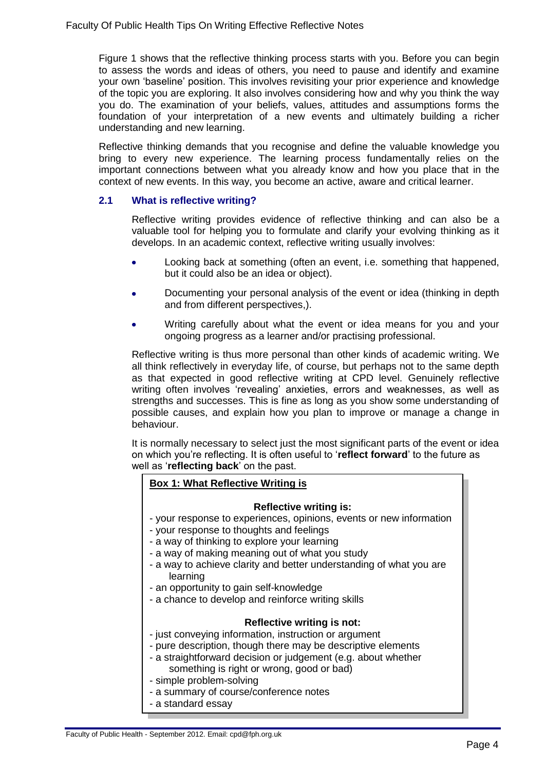Figure 1 shows that the reflective thinking process starts with you. Before you can begin to assess the words and ideas of others, you need to pause and identify and examine your own 'baseline' position. This involves revisiting your prior experience and knowledge of the topic you are exploring. It also involves considering how and why you think the way you do. The examination of your beliefs, values, attitudes and assumptions forms the foundation of your interpretation of a new events and ultimately building a richer understanding and new learning.

Reflective thinking demands that you recognise and define the valuable knowledge you bring to every new experience. The learning process fundamentally relies on the important connections between what you already know and how you place that in the context of new events. In this way, you become an active, aware and critical learner.

## <span id="page-4-0"></span>**2.1 What is reflective writing?**

Reflective writing provides evidence of reflective thinking and can also be a valuable tool for helping you to formulate and clarify your evolving thinking as it develops. In an academic context, reflective writing usually involves:

- Looking back at something (often an event, i.e. something that happened, but it could also be an idea or object).
- Documenting your personal analysis of the event or idea (thinking in depth and from different perspectives,).
- Writing carefully about what the event or idea means for you and your ongoing progress as a learner and/or practising professional.

Reflective writing is thus more personal than other kinds of academic writing. We all think reflectively in everyday life, of course, but perhaps not to the same depth as that expected in good reflective writing at CPD level. Genuinely reflective writing often involves 'revealing' anxieties, errors and weaknesses, as well as strengths and successes. This is fine as long as you show some understanding of possible causes, and explain how you plan to improve or manage a change in behaviour.

It is normally necessary to select just the most significant parts of the event or idea on which you're reflecting. It is often useful to '**reflect forward**' to the future as well as '**reflecting back**' on the past.

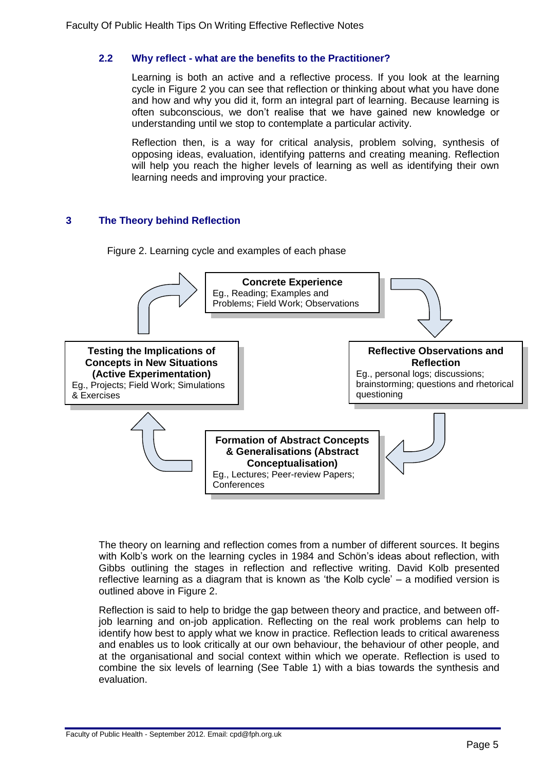## <span id="page-5-0"></span>**2.2 Why reflect - what are the benefits to the Practitioner?**

Learning is both an active and a reflective process. If you look at the learning cycle in Figure 2 you can see that reflection or thinking about what you have done and how and why you did it, form an integral part of learning. Because learning is often subconscious, we don't realise that we have gained new knowledge or understanding until we stop to contemplate a particular activity.

Reflection then, is a way for critical analysis, problem solving, synthesis of opposing ideas, evaluation, identifying patterns and creating meaning. Reflection will help you reach the higher levels of learning as well as identifying their own learning needs and improving your practice.

## <span id="page-5-1"></span>**3 The Theory behind Reflection**

Figure 2. Learning cycle and examples of each phase



The theory on learning and reflection comes from a number of different sources. It begins with Kolb's work on the learning cycles in 1984 and Schön's ideas about reflection, with Gibbs outlining the stages in reflection and reflective writing. David Kolb presented reflective learning as a diagram that is known as 'the Kolb cycle' – a modified version is outlined above in Figure 2.

Reflection is said to help to bridge the gap between theory and practice, and between offjob learning and on-job application. Reflecting on the real work problems can help to identify how best to apply what we know in practice. Reflection leads to critical awareness and enables us to look critically at our own behaviour, the behaviour of other people, and at the organisational and social context within which we operate. Reflection is used to combine the six levels of learning (See Table 1) with a bias towards the synthesis and evaluation.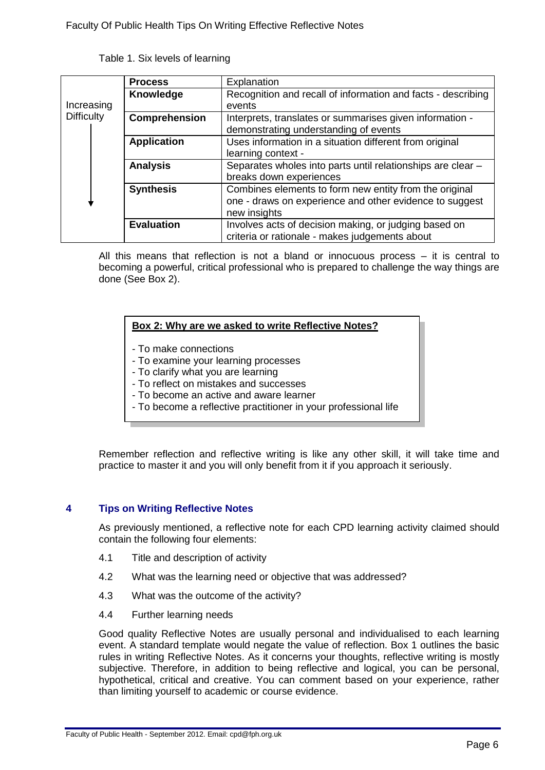Table 1. Six levels of learning

|                   | <b>Process</b>     | Explanation                                                  |
|-------------------|--------------------|--------------------------------------------------------------|
|                   | Knowledge          | Recognition and recall of information and facts - describing |
| Increasing        |                    | events                                                       |
| <b>Difficulty</b> | Comprehension      | Interprets, translates or summarises given information -     |
|                   |                    | demonstrating understanding of events                        |
|                   | <b>Application</b> | Uses information in a situation different from original      |
|                   |                    | learning context -                                           |
|                   | <b>Analysis</b>    | Separates wholes into parts until relationships are clear -  |
|                   |                    | breaks down experiences                                      |
|                   | <b>Synthesis</b>   | Combines elements to form new entity from the original       |
|                   |                    | one - draws on experience and other evidence to suggest      |
|                   |                    | new insights                                                 |
|                   | <b>Evaluation</b>  | Involves acts of decision making, or judging based on        |
|                   |                    | criteria or rationale - makes judgements about               |

All this means that reflection is not a bland or innocuous process – it is central to becoming a powerful, critical professional who is prepared to challenge the way things are done (See Box 2).

#### **Box 2: Why are we asked to write Reflective Notes?**

- To make connections
- To examine your learning processes
- To clarify what you are learning
- To reflect on mistakes and successes
- To become an active and aware learner
- To become a reflective practitioner in your professional life

Remember reflection and reflective writing is like any other skill, it will take time and practice to master it and you will only benefit from it if you approach it seriously.

## <span id="page-6-0"></span>**4 Tips on Writing Reflective Notes**

As previously mentioned, a reflective note for each CPD learning activity claimed should contain the following four elements:

- 4.1 Title and description of activity
- 4.2 What was the learning need or objective that was addressed?
- 4.3 What was the outcome of the activity?
- 4.4 Further learning needs

Good quality Reflective Notes are usually personal and individualised to each learning event. A standard template would negate the value of reflection. Box 1 outlines the basic rules in writing Reflective Notes. As it concerns your thoughts, reflective writing is mostly subjective. Therefore, in addition to being reflective and logical, you can be personal, hypothetical, critical and creative. You can comment based on your experience, rather than limiting yourself to academic or course evidence.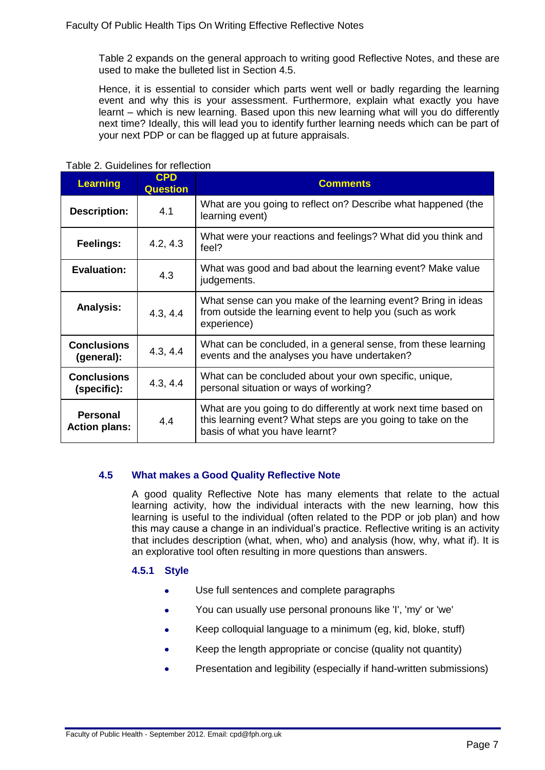Table 2 expands on the general approach to writing good Reflective Notes, and these are used to make the bulleted list in Section 4.5.

Hence, it is essential to consider which parts went well or badly regarding the learning event and why this is your assessment. Furthermore, explain what exactly you have learnt – which is new learning. Based upon this new learning what will you do differently next time? Ideally, this will lead you to identify further learning needs which can be part of your next PDP or can be flagged up at future appraisals.

| <b>Learning</b>                         | <b>CPD</b><br><b>Question</b> | <b>Comments</b>                                                                                                                                                   |
|-----------------------------------------|-------------------------------|-------------------------------------------------------------------------------------------------------------------------------------------------------------------|
| <b>Description:</b>                     | 4.1                           | What are you going to reflect on? Describe what happened (the<br>learning event)                                                                                  |
| Feelings:                               | 4.2, 4.3                      | What were your reactions and feelings? What did you think and<br>feel?                                                                                            |
| <b>Evaluation:</b>                      | 4.3                           | What was good and bad about the learning event? Make value<br>judgements.                                                                                         |
| <b>Analysis:</b>                        | 4.3, 4.4                      | What sense can you make of the learning event? Bring in ideas<br>from outside the learning event to help you (such as work<br>experience)                         |
| <b>Conclusions</b><br>(general):        | 4.3, 4.4                      | What can be concluded, in a general sense, from these learning<br>events and the analyses you have undertaken?                                                    |
| <b>Conclusions</b><br>(specific):       | 4.3, 4.4                      | What can be concluded about your own specific, unique,<br>personal situation or ways of working?                                                                  |
| <b>Personal</b><br><b>Action plans:</b> | 4.4                           | What are you going to do differently at work next time based on<br>this learning event? What steps are you going to take on the<br>basis of what you have learnt? |

#### Table 2. Guidelines for reflection

## <span id="page-7-0"></span>**4.5 What makes a Good Quality Reflective Note**

A good quality Reflective Note has many elements that relate to the actual learning activity, how the individual interacts with the new learning, how this learning is useful to the individual (often related to the PDP or job plan) and how this may cause a change in an individual's practice. Reflective writing is an activity that includes description (what, when, who) and analysis (how, why, what if). It is an explorative tool often resulting in more questions than answers.

## <span id="page-7-1"></span>**4.5.1 Style**

- Use full sentences and complete paragraphs  $\bullet$
- You can usually use personal pronouns like 'I', 'my' or 'we'  $\bullet$
- Keep colloquial language to a minimum (eg, kid, bloke, stuff)
- Keep the length appropriate or concise (quality not quantity)
- Presentation and legibility (especially if hand-written submissions)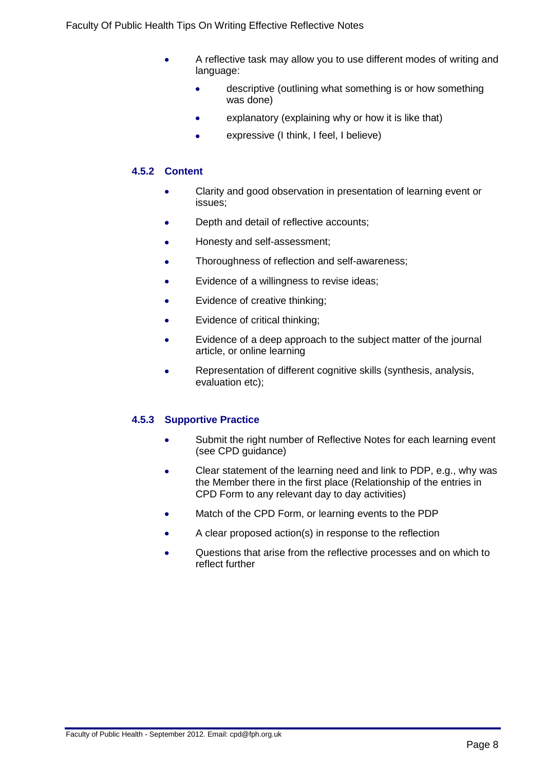- A reflective task may allow you to use different modes of writing and language:
	- descriptive (outlining what something is or how something ò was done)
	- explanatory (explaining why or how it is like that) ă
	- expressive (I think, I feel, I believe)

## <span id="page-8-0"></span>**4.5.2 Content**

- Clarity and good observation in presentation of learning event or ó issues;
- Depth and detail of reflective accounts;
- Honesty and self-assessment; ٠
- Thoroughness of reflection and self-awareness;
- Evidence of a willingness to revise ideas;
- Evidence of creative thinking;
- Evidence of critical thinking;
- Evidence of a deep approach to the subject matter of the journal article, or online learning
- Representation of different cognitive skills (synthesis, analysis, Ċ evaluation etc);

## <span id="page-8-1"></span>**4.5.3 Supportive Practice**

- Submit the right number of Reflective Notes for each learning event  $\bullet$ (see CPD guidance)
- Clear statement of the learning need and link to PDP, e.g., why was ä the Member there in the first place (Relationship of the entries in CPD Form to any relevant day to day activities)
- Match of the CPD Form, or learning events to the PDP
- A clear proposed action(s) in response to the reflection
- Questions that arise from the reflective processes and on which to reflect further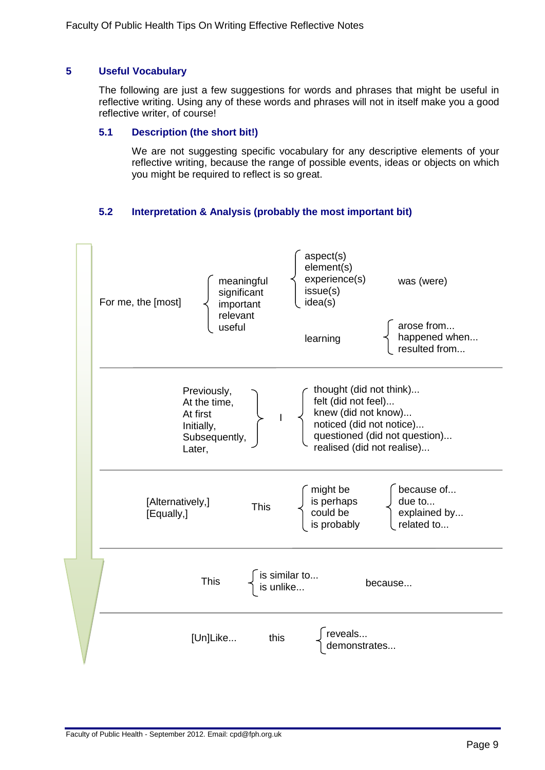## <span id="page-9-0"></span>**5 Useful Vocabulary**

The following are just a few suggestions for words and phrases that might be useful in reflective writing. Using any of these words and phrases will not in itself make you a good reflective writer, of course!

#### <span id="page-9-1"></span>**5.1 Description (the short bit!)**

We are not suggesting specific vocabulary for any descriptive elements of your reflective writing, because the range of possible events, ideas or objects on which you might be required to reflect is so great.

## **5.2 Interpretation & Analysis (probably the most important bit)**

<span id="page-9-2"></span>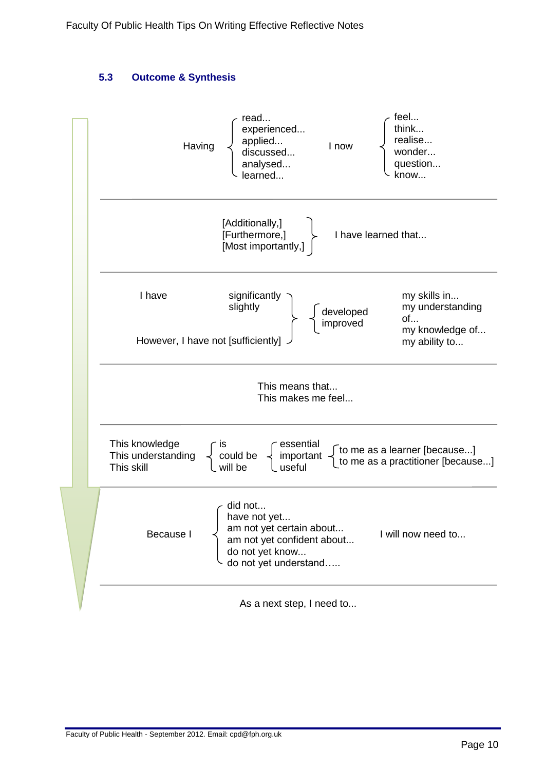## **5.3 Outcome & Synthesis**

<span id="page-10-0"></span>